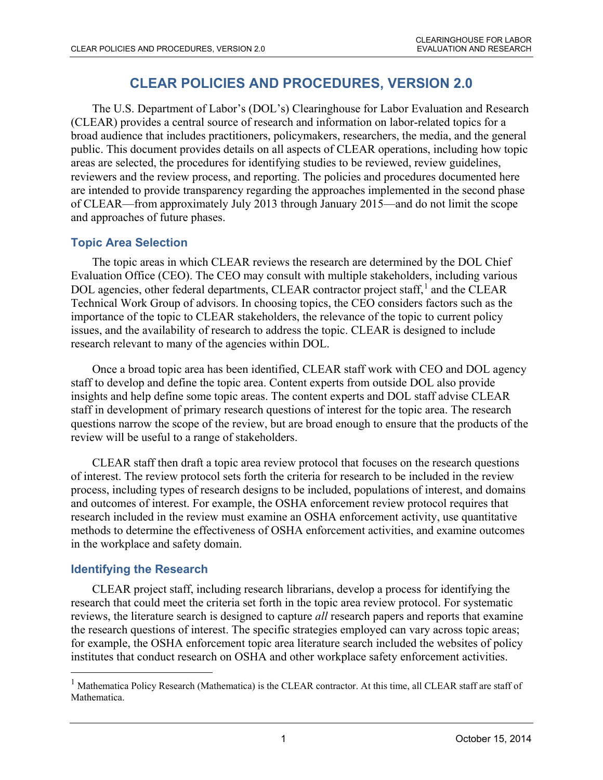# **CLEAR POLICIES AND PROCEDURES, VERSION 2.0**

The U.S. Department of Labor's (DOL's) Clearinghouse for Labor Evaluation and Research (CLEAR) provides a central source of research and information on labor-related topics for a broad audience that includes practitioners, policymakers, researchers, the media, and the general public. This document provides details on all aspects of CLEAR operations, including how topic areas are selected, the procedures for identifying studies to be reviewed, review guidelines, reviewers and the review process, and reporting. The policies and procedures documented here are intended to provide transparency regarding the approaches implemented in the second phase of CLEAR—from approximately July 2013 through January 2015—and do not limit the scope and approaches of future phases.

### **Topic Area Selection**

The topic areas in which CLEAR reviews the research are determined by the DOL Chief Evaluation Office (CEO). The CEO may consult with multiple stakeholders, including various DOL agencies, other federal departments, CLEAR contractor project staff,<sup>[1](#page-0-0)</sup> and the CLEAR Technical Work Group of advisors. In choosing topics, the CEO considers factors such as the importance of the topic to CLEAR stakeholders, the relevance of the topic to current policy issues, and the availability of research to address the topic. CLEAR is designed to include research relevant to many of the agencies within DOL.

Once a broad topic area has been identified, CLEAR staff work with CEO and DOL agency staff to develop and define the topic area. Content experts from outside DOL also provide insights and help define some topic areas. The content experts and DOL staff advise CLEAR staff in development of primary research questions of interest for the topic area. The research questions narrow the scope of the review, but are broad enough to ensure that the products of the review will be useful to a range of stakeholders.

CLEAR staff then draft a topic area review protocol that focuses on the research questions of interest. The review protocol sets forth the criteria for research to be included in the review process, including types of research designs to be included, populations of interest, and domains and outcomes of interest. For example, the OSHA enforcement review protocol requires that research included in the review must examine an OSHA enforcement activity, use quantitative methods to determine the effectiveness of OSHA enforcement activities, and examine outcomes in the workplace and safety domain.

## **Identifying the Research**

 $\overline{a}$ 

CLEAR project staff, including research librarians, develop a process for identifying the research that could meet the criteria set forth in the topic area review protocol. For systematic reviews, the literature search is designed to capture *all* research papers and reports that examine the research questions of interest. The specific strategies employed can vary across topic areas; for example, the OSHA enforcement topic area literature search included the websites of policy institutes that conduct research on OSHA and other workplace safety enforcement activities.

<span id="page-0-0"></span><sup>&</sup>lt;sup>1</sup> Mathematica Policy Research (Mathematica) is the CLEAR contractor. At this time, all CLEAR staff are staff of Mathematica.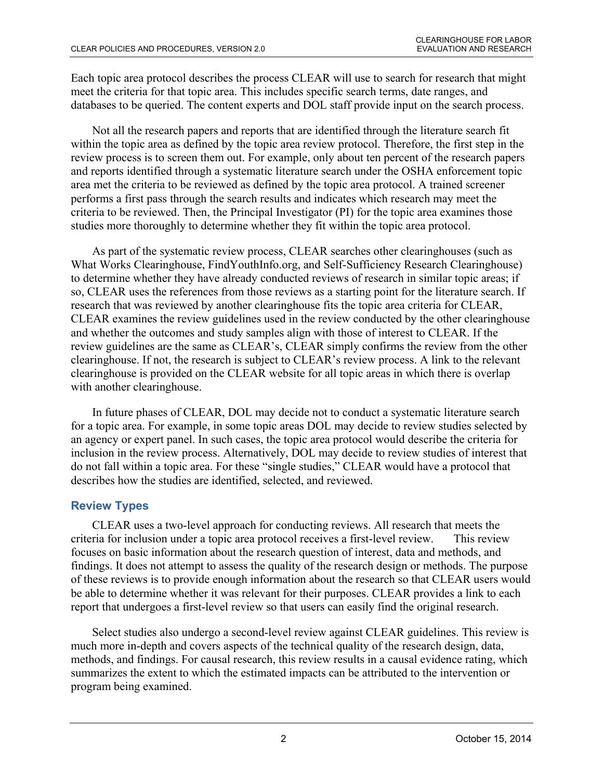Each topic area protocol describes the process CLEAR will use to search for research that might meet the criteria for that topic area. This includes specific search terms, date ranges, and databases to be queried. The content experts and DOL staff provide input on the search process.

Not all the research papers and reports that are identified through the literature search fit within the topic area as defined by the topic area review protocol. Therefore, the first step in the review process is to screen them out. For example, only about ten percent of the research papers and reports identified through a systematic literature search under the OSHA enforcement topic area met the criteria to be reviewed as defined by the topic area protocol. A trained screener performs a first pass through the search results and indicates which research may meet the criteria to be reviewed. Then, the Principal Investigator (PI) for the topic area examines those studies more thoroughly to determine whether they fit within the topic area protocol.

As part of the systematic review process, CLEAR searches other clearinghouses (such as What Works Clearinghouse, FindYouthInfo.org, and Self-Sufficiency Research Clearinghouse) to determine whether they have already conducted reviews of research in similar topic areas; if so, CLEAR uses the references from those reviews as a starting point for the literature search. If research that was reviewed by another clearinghouse fits the topic area criteria for CLEAR, CLEAR examines the review guidelines used in the review conducted by the other clearinghouse and whether the outcomes and study samples align with those of interest to CLEAR. If the review guidelines are the same as CLEAR's, CLEAR simply confirms the review from the other clearinghouse. If not, the research is subject to CLEAR's review process. A link to the relevant clearinghouse is provided on the CLEAR website for all topic areas in which there is overlap with another clearinghouse.

In future phases of CLEAR, DOL may decide not to conduct a systematic literature search for a topic area. For example, in some topic areas DOL may decide to review studies selected by an agency or expert panel. In such cases, the topic area protocol would describe the criteria for inclusion in the review process. Alternatively, DOL may decide to review studies of interest that do not fall within a topic area. For these "single studies," CLEAR would have a protocol that describes how the studies are identified, selected, and reviewed.

## **Review Types**

CLEAR uses a two-level approach for conducting reviews. All research that meets the criteria for inclusion under a topic area protocol receives a first-level review. This review focuses on basic information about the research question of interest, data and methods, and findings. It does not attempt to assess the quality of the research design or methods. The purpose of these reviews is to provide enough information about the research so that CLEAR users would be able to determine whether it was relevant for their purposes. CLEAR provides a link to each report that undergoes a first-level review so that users can easily find the original research.

Select studies also undergo a second-level review against CLEAR guidelines. This review is much more in-depth and covers aspects of the technical quality of the research design, data, methods, and findings. For causal research, this review results in a causal evidence rating, which summarizes the extent to which the estimated impacts can be attributed to the intervention or program being examined.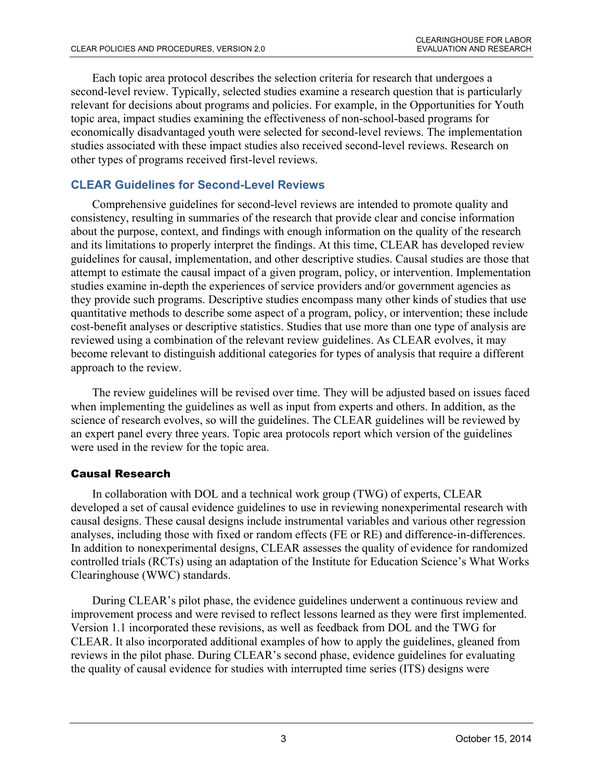Each topic area protocol describes the selection criteria for research that undergoes a second-level review. Typically, selected studies examine a research question that is particularly relevant for decisions about programs and policies. For example, in the Opportunities for Youth topic area, impact studies examining the effectiveness of non-school-based programs for economically disadvantaged youth were selected for second-level reviews. The implementation studies associated with these impact studies also received second-level reviews. Research on other types of programs received first-level reviews.

# **CLEAR Guidelines for Second-Level Reviews**

Comprehensive guidelines for second-level reviews are intended to promote quality and consistency, resulting in summaries of the research that provide clear and concise information about the purpose, context, and findings with enough information on the quality of the research and its limitations to properly interpret the findings. At this time, CLEAR has developed review guidelines for causal, implementation, and other descriptive studies. Causal studies are those that attempt to estimate the causal impact of a given program, policy, or intervention. Implementation studies examine in-depth the experiences of service providers and/or government agencies as they provide such programs. Descriptive studies encompass many other kinds of studies that use quantitative methods to describe some aspect of a program, policy, or intervention; these include cost-benefit analyses or descriptive statistics. Studies that use more than one type of analysis are reviewed using a combination of the relevant review guidelines. As CLEAR evolves, it may become relevant to distinguish additional categories for types of analysis that require a different approach to the review.

The review guidelines will be revised over time. They will be adjusted based on issues faced when implementing the guidelines as well as input from experts and others. In addition, as the science of research evolves, so will the guidelines. The CLEAR guidelines will be reviewed by an expert panel every three years. Topic area protocols report which version of the guidelines were used in the review for the topic area.

## Causal Research

In collaboration with DOL and a technical work group (TWG) of experts, CLEAR developed a set of causal evidence guidelines to use in reviewing nonexperimental research with causal designs. These causal designs include instrumental variables and various other regression analyses, including those with fixed or random effects (FE or RE) and difference-in-differences. In addition to nonexperimental designs, CLEAR assesses the quality of evidence for randomized controlled trials (RCTs) using an adaptation of the Institute for Education Science's What Works Clearinghouse (WWC) standards.

During CLEAR's pilot phase, the evidence guidelines underwent a continuous review and improvement process and were revised to reflect lessons learned as they were first implemented. Version 1.1 incorporated these revisions, as well as feedback from DOL and the TWG for CLEAR. It also incorporated additional examples of how to apply the guidelines, gleaned from reviews in the pilot phase. During CLEAR's second phase, evidence guidelines for evaluating the quality of causal evidence for studies with interrupted time series (ITS) designs were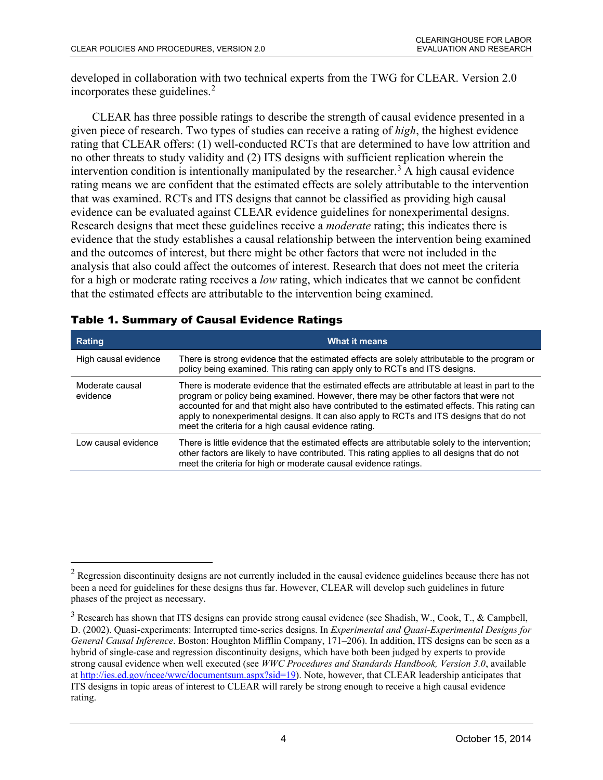developed in collaboration with two technical experts from the TWG for CLEAR. Version 2.0 incorporates these guidelines. $2$ 

CLEAR has three possible ratings to describe the strength of causal evidence presented in a given piece of research. Two types of studies can receive a rating of *high*, the highest evidence rating that CLEAR offers: (1) well-conducted RCTs that are determined to have low attrition and no other threats to study validity and (2) ITS designs with sufficient replication wherein the intervention condition is intentionally manipulated by the researcher.<sup>[3](#page-3-1)</sup> A high causal evidence rating means we are confident that the estimated effects are solely attributable to the intervention that was examined. RCTs and ITS designs that cannot be classified as providing high causal evidence can be evaluated against CLEAR evidence guidelines for nonexperimental designs. Research designs that meet these guidelines receive a *moderate* rating; this indicates there is evidence that the study establishes a causal relationship between the intervention being examined and the outcomes of interest, but there might be other factors that were not included in the analysis that also could affect the outcomes of interest. Research that does not meet the criteria for a high or moderate rating receives a *low* rating, which indicates that we cannot be confident that the estimated effects are attributable to the intervention being examined.

| Rating                      | <b>What it means</b>                                                                                                                                                                                                                                                                                                                                                                                                                     |
|-----------------------------|------------------------------------------------------------------------------------------------------------------------------------------------------------------------------------------------------------------------------------------------------------------------------------------------------------------------------------------------------------------------------------------------------------------------------------------|
| High causal evidence        | There is strong evidence that the estimated effects are solely attributable to the program or<br>policy being examined. This rating can apply only to RCTs and ITS designs.                                                                                                                                                                                                                                                              |
| Moderate causal<br>evidence | There is moderate evidence that the estimated effects are attributable at least in part to the<br>program or policy being examined. However, there may be other factors that were not<br>accounted for and that might also have contributed to the estimated effects. This rating can<br>apply to nonexperimental designs. It can also apply to RCTs and ITS designs that do not<br>meet the criteria for a high causal evidence rating. |
| Low causal evidence         | There is little evidence that the estimated effects are attributable solely to the intervention;<br>other factors are likely to have contributed. This rating applies to all designs that do not<br>meet the criteria for high or moderate causal evidence ratings.                                                                                                                                                                      |

#### Table 1. Summary of Causal Evidence Ratings

 $\overline{a}$ 

<span id="page-3-0"></span> $2$  Regression discontinuity designs are not currently included in the causal evidence guidelines because there has not been a need for guidelines for these designs thus far. However, CLEAR will develop such guidelines in future phases of the project as necessary.

<span id="page-3-1"></span> $3$  Research has shown that ITS designs can provide strong causal evidence (see Shadish, W., Cook, T., & Campbell, D. (2002). Quasi-experiments: Interrupted time-series designs. In *Experimental and Quasi-Experimental Designs for General Causal Inference*. Boston: Houghton Mifflin Company, 171–206). In addition, ITS designs can be seen as a hybrid of single-case and regression discontinuity designs, which have both been judged by experts to provide strong causal evidence when well executed (see *WWC Procedures and Standards Handbook, Version 3.0*, available a[t http://ies.ed.gov/ncee/wwc/documentsum.aspx?sid=19\)](http://ies.ed.gov/ncee/wwc/documentsum.aspx?sid=19). Note, however, that CLEAR leadership anticipates that ITS designs in topic areas of interest to CLEAR will rarely be strong enough to receive a high causal evidence rating.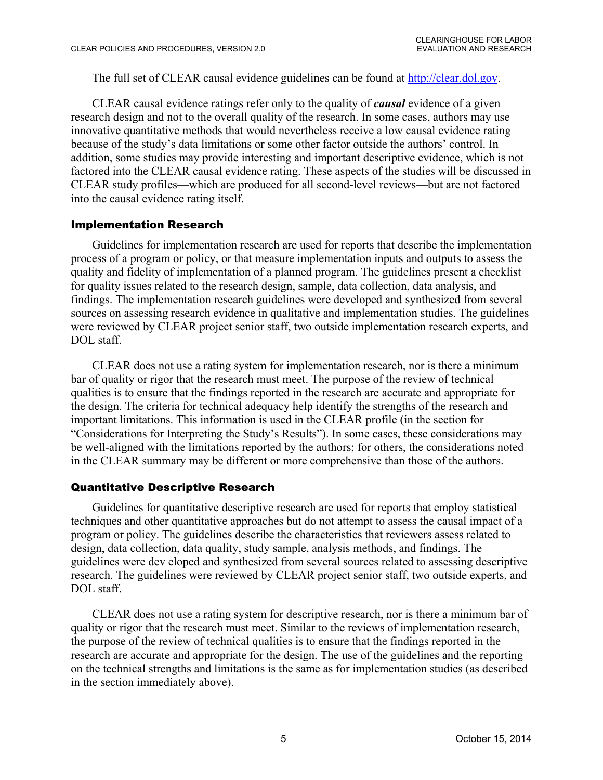The full set of CLEAR causal evidence guidelines can be found at [http://clear.dol.gov.](http://clear.dol.gov/)

CLEAR causal evidence ratings refer only to the quality of *causal* evidence of a given research design and not to the overall quality of the research. In some cases, authors may use innovative quantitative methods that would nevertheless receive a low causal evidence rating because of the study's data limitations or some other factor outside the authors' control. In addition, some studies may provide interesting and important descriptive evidence, which is not factored into the CLEAR causal evidence rating. These aspects of the studies will be discussed in CLEAR study profiles—which are produced for all second-level reviews—but are not factored into the causal evidence rating itself.

### Implementation Research

Guidelines for implementation research are used for reports that describe the implementation process of a program or policy, or that measure implementation inputs and outputs to assess the quality and fidelity of implementation of a planned program. The guidelines present a checklist for quality issues related to the research design, sample, data collection, data analysis, and findings. The implementation research guidelines were developed and synthesized from several sources on assessing research evidence in qualitative and implementation studies. The guidelines were reviewed by CLEAR project senior staff, two outside implementation research experts, and DOL staff.

CLEAR does not use a rating system for implementation research, nor is there a minimum bar of quality or rigor that the research must meet. The purpose of the review of technical qualities is to ensure that the findings reported in the research are accurate and appropriate for the design. The criteria for technical adequacy help identify the strengths of the research and important limitations. This information is used in the CLEAR profile (in the section for "Considerations for Interpreting the Study's Results"). In some cases, these considerations may be well-aligned with the limitations reported by the authors; for others, the considerations noted in the CLEAR summary may be different or more comprehensive than those of the authors.

### Quantitative Descriptive Research

Guidelines for quantitative descriptive research are used for reports that employ statistical techniques and other quantitative approaches but do not attempt to assess the causal impact of a program or policy. The guidelines describe the characteristics that reviewers assess related to design, data collection, data quality, study sample, analysis methods, and findings. The guidelines were dev eloped and synthesized from several sources related to assessing descriptive research. The guidelines were reviewed by CLEAR project senior staff, two outside experts, and DOL staff.

CLEAR does not use a rating system for descriptive research, nor is there a minimum bar of quality or rigor that the research must meet. Similar to the reviews of implementation research, the purpose of the review of technical qualities is to ensure that the findings reported in the research are accurate and appropriate for the design. The use of the guidelines and the reporting on the technical strengths and limitations is the same as for implementation studies (as described in the section immediately above).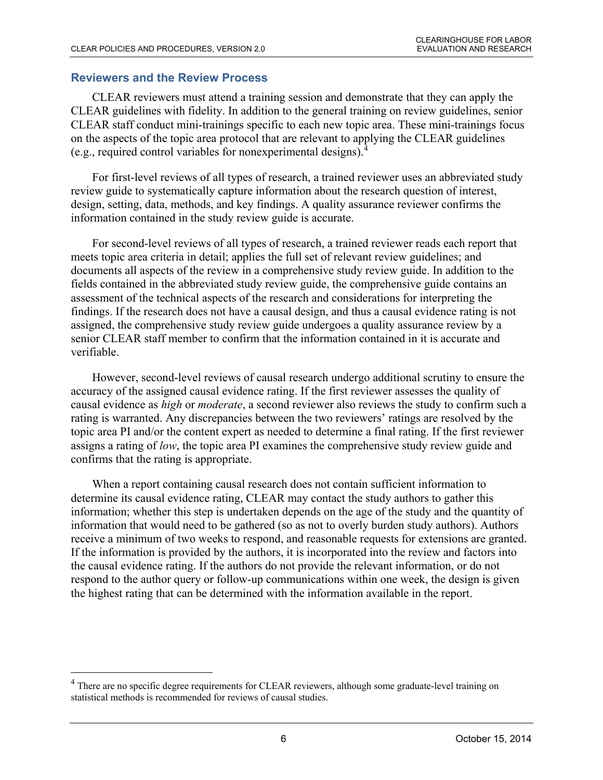#### **Reviewers and the Review Process**

 $\overline{a}$ 

CLEAR reviewers must attend a training session and demonstrate that they can apply the CLEAR guidelines with fidelity. In addition to the general training on review guidelines, senior CLEAR staff conduct mini-trainings specific to each new topic area. These mini-trainings focus on the aspects of the topic area protocol that are relevant to applying the CLEAR guidelines (e.g., required control variables for nonexperimental designs).[4](#page-5-0)

For first-level reviews of all types of research, a trained reviewer uses an abbreviated study review guide to systematically capture information about the research question of interest, design, setting, data, methods, and key findings. A quality assurance reviewer confirms the information contained in the study review guide is accurate.

For second-level reviews of all types of research, a trained reviewer reads each report that meets topic area criteria in detail; applies the full set of relevant review guidelines; and documents all aspects of the review in a comprehensive study review guide. In addition to the fields contained in the abbreviated study review guide, the comprehensive guide contains an assessment of the technical aspects of the research and considerations for interpreting the findings. If the research does not have a causal design, and thus a causal evidence rating is not assigned, the comprehensive study review guide undergoes a quality assurance review by a senior CLEAR staff member to confirm that the information contained in it is accurate and verifiable.

However, second-level reviews of causal research undergo additional scrutiny to ensure the accuracy of the assigned causal evidence rating. If the first reviewer assesses the quality of causal evidence as *high* or *moderate*, a second reviewer also reviews the study to confirm such a rating is warranted. Any discrepancies between the two reviewers' ratings are resolved by the topic area PI and/or the content expert as needed to determine a final rating. If the first reviewer assigns a rating of *low*, the topic area PI examines the comprehensive study review guide and confirms that the rating is appropriate.

When a report containing causal research does not contain sufficient information to determine its causal evidence rating, CLEAR may contact the study authors to gather this information; whether this step is undertaken depends on the age of the study and the quantity of information that would need to be gathered (so as not to overly burden study authors). Authors receive a minimum of two weeks to respond, and reasonable requests for extensions are granted. If the information is provided by the authors, it is incorporated into the review and factors into the causal evidence rating. If the authors do not provide the relevant information, or do not respond to the author query or follow-up communications within one week, the design is given the highest rating that can be determined with the information available in the report.

<span id="page-5-0"></span><sup>&</sup>lt;sup>4</sup> There are no specific degree requirements for CLEAR reviewers, although some graduate-level training on statistical methods is recommended for reviews of causal studies.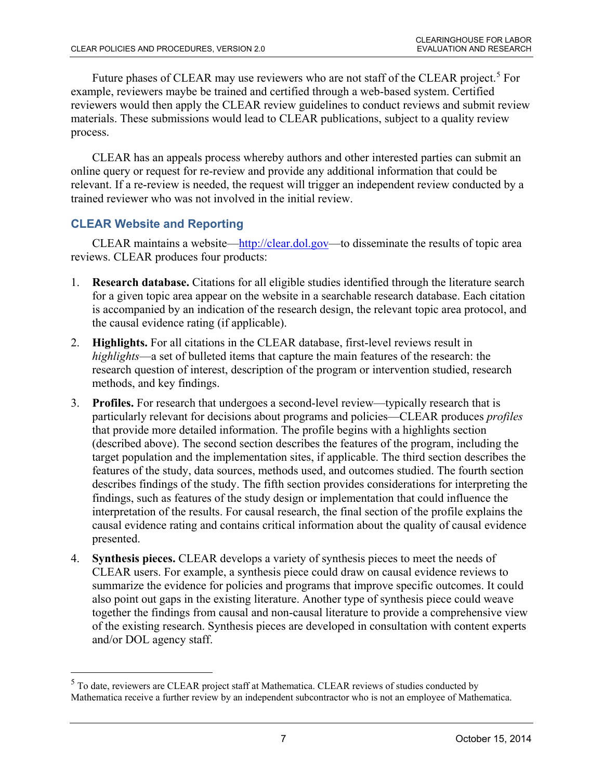Future phases of CLEAR may use reviewers who are not staff of the CLEAR project.<sup>[5](#page-6-0)</sup> For example, reviewers maybe be trained and certified through a web-based system. Certified reviewers would then apply the CLEAR review guidelines to conduct reviews and submit review materials. These submissions would lead to CLEAR publications, subject to a quality review process.

CLEAR has an appeals process whereby authors and other interested parties can submit an online query or request for re-review and provide any additional information that could be relevant. If a re-review is needed, the request will trigger an independent review conducted by a trained reviewer who was not involved in the initial review.

# **CLEAR Website and Reporting**

 $\overline{a}$ 

CLEAR maintains a website[—http://clear.dol.gov—](http://clear.dol.gov/)to disseminate the results of topic area reviews. CLEAR produces four products:

- 1. **Research database.** Citations for all eligible studies identified through the literature search for a given topic area appear on the website in a searchable research database. Each citation is accompanied by an indication of the research design, the relevant topic area protocol, and the causal evidence rating (if applicable).
- 2. **Highlights.** For all citations in the CLEAR database, first-level reviews result in *highlights*—a set of bulleted items that capture the main features of the research: the research question of interest, description of the program or intervention studied, research methods, and key findings.
- 3. **Profiles.** For research that undergoes a second-level review—typically research that is particularly relevant for decisions about programs and policies—CLEAR produces *profiles* that provide more detailed information. The profile begins with a highlights section (described above). The second section describes the features of the program, including the target population and the implementation sites, if applicable. The third section describes the features of the study, data sources, methods used, and outcomes studied. The fourth section describes findings of the study. The fifth section provides considerations for interpreting the findings, such as features of the study design or implementation that could influence the interpretation of the results. For causal research, the final section of the profile explains the causal evidence rating and contains critical information about the quality of causal evidence presented.
- 4. **Synthesis pieces.** CLEAR develops a variety of synthesis pieces to meet the needs of CLEAR users. For example, a synthesis piece could draw on causal evidence reviews to summarize the evidence for policies and programs that improve specific outcomes. It could also point out gaps in the existing literature. Another type of synthesis piece could weave together the findings from causal and non-causal literature to provide a comprehensive view of the existing research. Synthesis pieces are developed in consultation with content experts and/or DOL agency staff.

<span id="page-6-0"></span><sup>&</sup>lt;sup>5</sup> To date, reviewers are CLEAR project staff at Mathematica. CLEAR reviews of studies conducted by Mathematica receive a further review by an independent subcontractor who is not an employee of Mathematica.